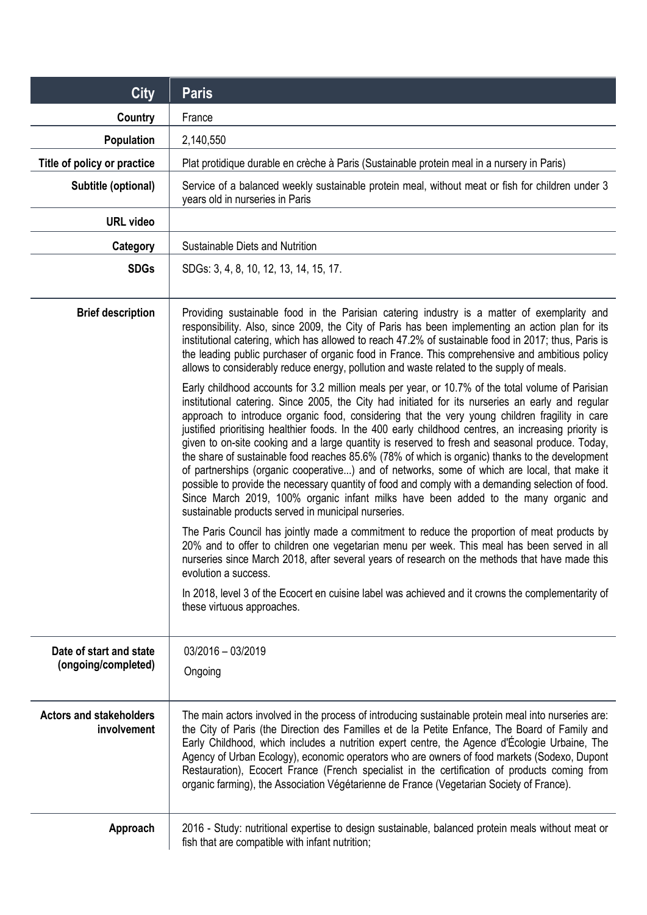| <b>City</b>                                    | <b>Paris</b>                                                                                                                                                                                                                                                                                                                                                                                                                                                                                                                                                                                                                                                                                                                                                                                                                                                                                                                                                               |
|------------------------------------------------|----------------------------------------------------------------------------------------------------------------------------------------------------------------------------------------------------------------------------------------------------------------------------------------------------------------------------------------------------------------------------------------------------------------------------------------------------------------------------------------------------------------------------------------------------------------------------------------------------------------------------------------------------------------------------------------------------------------------------------------------------------------------------------------------------------------------------------------------------------------------------------------------------------------------------------------------------------------------------|
| <b>Country</b>                                 | France                                                                                                                                                                                                                                                                                                                                                                                                                                                                                                                                                                                                                                                                                                                                                                                                                                                                                                                                                                     |
| Population                                     | 2,140,550                                                                                                                                                                                                                                                                                                                                                                                                                                                                                                                                                                                                                                                                                                                                                                                                                                                                                                                                                                  |
| Title of policy or practice                    | Plat protidique durable en crèche à Paris (Sustainable protein meal in a nursery in Paris)                                                                                                                                                                                                                                                                                                                                                                                                                                                                                                                                                                                                                                                                                                                                                                                                                                                                                 |
| Subtitle (optional)                            | Service of a balanced weekly sustainable protein meal, without meat or fish for children under 3<br>years old in nurseries in Paris                                                                                                                                                                                                                                                                                                                                                                                                                                                                                                                                                                                                                                                                                                                                                                                                                                        |
| <b>URL</b> video                               |                                                                                                                                                                                                                                                                                                                                                                                                                                                                                                                                                                                                                                                                                                                                                                                                                                                                                                                                                                            |
| Category                                       | Sustainable Diets and Nutrition                                                                                                                                                                                                                                                                                                                                                                                                                                                                                                                                                                                                                                                                                                                                                                                                                                                                                                                                            |
| <b>SDGs</b>                                    | SDGs: 3, 4, 8, 10, 12, 13, 14, 15, 17.                                                                                                                                                                                                                                                                                                                                                                                                                                                                                                                                                                                                                                                                                                                                                                                                                                                                                                                                     |
| <b>Brief description</b>                       | Providing sustainable food in the Parisian catering industry is a matter of exemplarity and<br>responsibility. Also, since 2009, the City of Paris has been implementing an action plan for its<br>institutional catering, which has allowed to reach 47.2% of sustainable food in 2017; thus, Paris is<br>the leading public purchaser of organic food in France. This comprehensive and ambitious policy<br>allows to considerably reduce energy, pollution and waste related to the supply of meals.                                                                                                                                                                                                                                                                                                                                                                                                                                                                    |
|                                                | Early childhood accounts for 3.2 million meals per year, or 10.7% of the total volume of Parisian<br>institutional catering. Since 2005, the City had initiated for its nurseries an early and regular<br>approach to introduce organic food, considering that the very young children fragility in care<br>justified prioritising healthier foods. In the 400 early childhood centres, an increasing priority is<br>given to on-site cooking and a large quantity is reserved to fresh and seasonal produce. Today,<br>the share of sustainable food reaches 85.6% (78% of which is organic) thanks to the development<br>of partnerships (organic cooperative) and of networks, some of which are local, that make it<br>possible to provide the necessary quantity of food and comply with a demanding selection of food.<br>Since March 2019, 100% organic infant milks have been added to the many organic and<br>sustainable products served in municipal nurseries. |
|                                                | The Paris Council has jointly made a commitment to reduce the proportion of meat products by<br>20% and to offer to children one vegetarian menu per week. This meal has been served in all<br>nurseries since March 2018, after several years of research on the methods that have made this<br>evolution a success.                                                                                                                                                                                                                                                                                                                                                                                                                                                                                                                                                                                                                                                      |
|                                                | In 2018, level 3 of the Ecocert en cuisine label was achieved and it crowns the complementarity of<br>these virtuous approaches.                                                                                                                                                                                                                                                                                                                                                                                                                                                                                                                                                                                                                                                                                                                                                                                                                                           |
| Date of start and state<br>(ongoing/completed) | $03/2016 - 03/2019$<br>Ongoing                                                                                                                                                                                                                                                                                                                                                                                                                                                                                                                                                                                                                                                                                                                                                                                                                                                                                                                                             |
| <b>Actors and stakeholders</b><br>involvement  | The main actors involved in the process of introducing sustainable protein meal into nurseries are:<br>the City of Paris (the Direction des Familles et de la Petite Enfance, The Board of Family and<br>Early Childhood, which includes a nutrition expert centre, the Agence d'Écologie Urbaine, The<br>Agency of Urban Ecology), economic operators who are owners of food markets (Sodexo, Dupont<br>Restauration), Ecocert France (French specialist in the certification of products coming from<br>organic farming), the Association Végétarienne de France (Vegetarian Society of France).                                                                                                                                                                                                                                                                                                                                                                         |
| Approach                                       | 2016 - Study: nutritional expertise to design sustainable, balanced protein meals without meat or<br>fish that are compatible with infant nutrition;                                                                                                                                                                                                                                                                                                                                                                                                                                                                                                                                                                                                                                                                                                                                                                                                                       |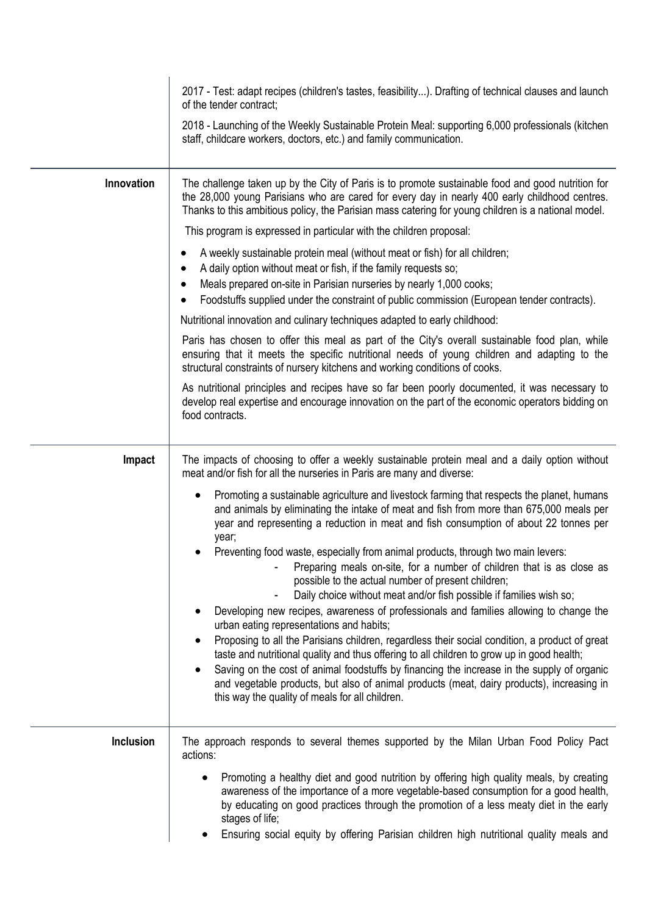|            | 2017 - Test: adapt recipes (children's tastes, feasibility). Drafting of technical clauses and launch<br>of the tender contract;                                                                                                                                                                                   |
|------------|--------------------------------------------------------------------------------------------------------------------------------------------------------------------------------------------------------------------------------------------------------------------------------------------------------------------|
|            | 2018 - Launching of the Weekly Sustainable Protein Meal: supporting 6,000 professionals (kitchen<br>staff, childcare workers, doctors, etc.) and family communication.                                                                                                                                             |
| Innovation | The challenge taken up by the City of Paris is to promote sustainable food and good nutrition for<br>the 28,000 young Parisians who are cared for every day in nearly 400 early childhood centres.<br>Thanks to this ambitious policy, the Parisian mass catering for young children is a national model.          |
|            | This program is expressed in particular with the children proposal:                                                                                                                                                                                                                                                |
|            | A weekly sustainable protein meal (without meat or fish) for all children;<br>A daily option without meat or fish, if the family requests so;<br>Meals prepared on-site in Parisian nurseries by nearly 1,000 cooks;<br>Foodstuffs supplied under the constraint of public commission (European tender contracts). |
|            | Nutritional innovation and culinary techniques adapted to early childhood:                                                                                                                                                                                                                                         |
|            | Paris has chosen to offer this meal as part of the City's overall sustainable food plan, while<br>ensuring that it meets the specific nutritional needs of young children and adapting to the<br>structural constraints of nursery kitchens and working conditions of cooks.                                       |
|            | As nutritional principles and recipes have so far been poorly documented, it was necessary to<br>develop real expertise and encourage innovation on the part of the economic operators bidding on<br>food contracts.                                                                                               |
| Impact     | The impacts of choosing to offer a weekly sustainable protein meal and a daily option without<br>meat and/or fish for all the nurseries in Paris are many and diverse:                                                                                                                                             |
|            | Promoting a sustainable agriculture and livestock farming that respects the planet, humans<br>$\bullet$<br>and animals by eliminating the intake of meat and fish from more than 675,000 meals per<br>year and representing a reduction in meat and fish consumption of about 22 tonnes per<br>year;               |
|            | Preventing food waste, especially from animal products, through two main levers:<br>Preparing meals on-site, for a number of children that is as close as<br>possible to the actual number of present children;<br>Daily choice without meat and/or fish possible if families wish so;                             |
|            | Developing new recipes, awareness of professionals and families allowing to change the<br>urban eating representations and habits;                                                                                                                                                                                 |
|            | Proposing to all the Parisians children, regardless their social condition, a product of great<br>taste and nutritional quality and thus offering to all children to grow up in good health;                                                                                                                       |
|            | Saving on the cost of animal foodstuffs by financing the increase in the supply of organic<br>and vegetable products, but also of animal products (meat, dairy products), increasing in<br>this way the quality of meals for all children.                                                                         |
| Inclusion  | The approach responds to several themes supported by the Milan Urban Food Policy Pact<br>actions:                                                                                                                                                                                                                  |
|            | Promoting a healthy diet and good nutrition by offering high quality meals, by creating<br>$\bullet$<br>awareness of the importance of a more vegetable-based consumption for a good health,<br>by educating on good practices through the promotion of a less meaty diet in the early<br>stages of life;          |
|            | Ensuring social equity by offering Parisian children high nutritional quality meals and                                                                                                                                                                                                                            |